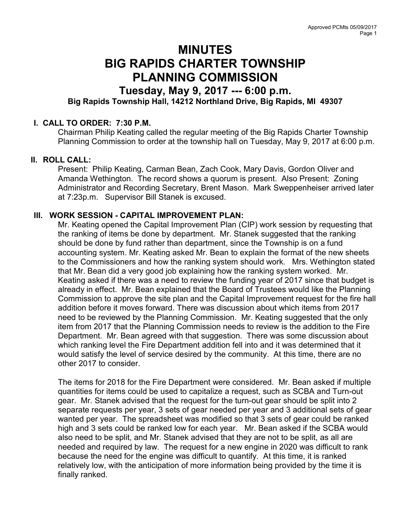# MINUTES BIG RAPIDS CHARTER TOWNSHIP PLANNING COMMISSION

# Tuesday, May 9, 2017 --- 6:00 p.m. Big Rapids Township Hall, 14212 Northland Drive, Big Rapids, MI 49307

## I. CALL TO ORDER: 7:30 P.M.

Chairman Philip Keating called the regular meeting of the Big Rapids Charter Township Planning Commission to order at the township hall on Tuesday, May 9, 2017 at 6:00 p.m.

# II. ROLL CALL:

Present: Philip Keating, Carman Bean, Zach Cook, Mary Davis, Gordon Oliver and Amanda Wethington. The record shows a quorum is present. Also Present: Zoning Administrator and Recording Secretary, Brent Mason. Mark Sweppenheiser arrived later at 7:23p.m. Supervisor Bill Stanek is excused.

## III. WORK SESSION - CAPITAL IMPROVEMENT PLAN:

Mr. Keating opened the Capital Improvement Plan (CIP) work session by requesting that the ranking of items be done by department. Mr. Stanek suggested that the ranking should be done by fund rather than department, since the Township is on a fund accounting system. Mr. Keating asked Mr. Bean to explain the format of the new sheets to the Commissioners and how the ranking system should work. Mrs. Wethington stated that Mr. Bean did a very good job explaining how the ranking system worked. Mr. Keating asked if there was a need to review the funding year of 2017 since that budget is already in effect. Mr. Bean explained that the Board of Trustees would like the Planning Commission to approve the site plan and the Capital Improvement request for the fire hall addition before it moves forward. There was discussion about which items from 2017 need to be reviewed by the Planning Commission. Mr. Keating suggested that the only item from 2017 that the Planning Commission needs to review is the addition to the Fire Department. Mr. Bean agreed with that suggestion. There was some discussion about which ranking level the Fire Department addition fell into and it was determined that it would satisfy the level of service desired by the community. At this time, there are no other 2017 to consider.

The items for 2018 for the Fire Department were considered. Mr. Bean asked if multiple quantities for items could be used to capitalize a request, such as SCBA and Turn-out gear. Mr. Stanek advised that the request for the turn-out gear should be split into 2 separate requests per year, 3 sets of gear needed per year and 3 additional sets of gear wanted per year. The spreadsheet was modified so that 3 sets of gear could be ranked high and 3 sets could be ranked low for each year. Mr. Bean asked if the SCBA would also need to be split, and Mr. Stanek advised that they are not to be split, as all are needed and required by law. The request for a new engine in 2020 was difficult to rank because the need for the engine was difficult to quantify. At this time, it is ranked relatively low, with the anticipation of more information being provided by the time it is finally ranked.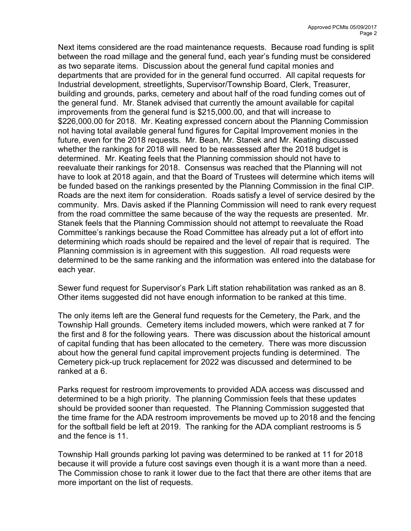Next items considered are the road maintenance requests. Because road funding is split between the road millage and the general fund, each year's funding must be considered as two separate items. Discussion about the general fund capital monies and departments that are provided for in the general fund occurred. All capital requests for Industrial development, streetlights, Supervisor/Township Board, Clerk, Treasurer, building and grounds, parks, cemetery and about half of the road funding comes out of the general fund. Mr. Stanek advised that currently the amount available for capital improvements from the general fund is \$215,000.00, and that will increase to \$226,000.00 for 2018. Mr. Keating expressed concern about the Planning Commission not having total available general fund figures for Capital Improvement monies in the future, even for the 2018 requests. Mr. Bean, Mr. Stanek and Mr. Keating discussed whether the rankings for 2018 will need to be reassessed after the 2018 budget is determined. Mr. Keating feels that the Planning commission should not have to reevaluate their rankings for 2018. Consensus was reached that the Planning will not have to look at 2018 again, and that the Board of Trustees will determine which items will be funded based on the rankings presented by the Planning Commission in the final CIP. Roads are the next item for consideration. Roads satisfy a level of service desired by the community. Mrs. Davis asked if the Planning Commission will need to rank every request from the road committee the same because of the way the requests are presented. Mr. Stanek feels that the Planning Commission should not attempt to reevaluate the Road Committee's rankings because the Road Committee has already put a lot of effort into determining which roads should be repaired and the level of repair that is required. The Planning commission is in agreement with this suggestion. All road requests were determined to be the same ranking and the information was entered into the database for each year.

Sewer fund request for Supervisor's Park Lift station rehabilitation was ranked as an 8. Other items suggested did not have enough information to be ranked at this time.

The only items left are the General fund requests for the Cemetery, the Park, and the Township Hall grounds. Cemetery items included mowers, which were ranked at 7 for the first and 8 for the following years. There was discussion about the historical amount of capital funding that has been allocated to the cemetery. There was more discussion about how the general fund capital improvement projects funding is determined. The Cemetery pick-up truck replacement for 2022 was discussed and determined to be ranked at a 6.

Parks request for restroom improvements to provided ADA access was discussed and determined to be a high priority. The planning Commission feels that these updates should be provided sooner than requested. The Planning Commission suggested that the time frame for the ADA restroom improvements be moved up to 2018 and the fencing for the softball field be left at 2019. The ranking for the ADA compliant restrooms is 5 and the fence is 11.

Township Hall grounds parking lot paving was determined to be ranked at 11 for 2018 because it will provide a future cost savings even though it is a want more than a need. The Commission chose to rank it lower due to the fact that there are other items that are more important on the list of requests.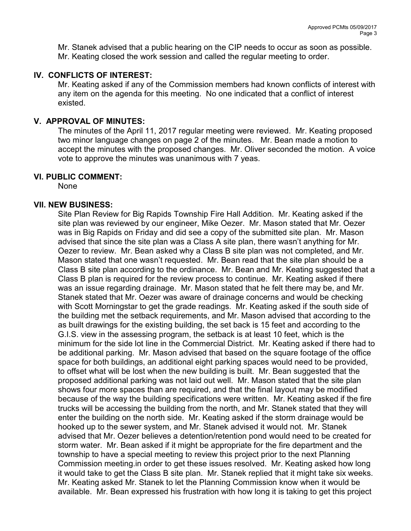Mr. Stanek advised that a public hearing on the CIP needs to occur as soon as possible. Mr. Keating closed the work session and called the regular meeting to order.

# IV. CONFLICTS OF INTEREST:

Mr. Keating asked if any of the Commission members had known conflicts of interest with any item on the agenda for this meeting. No one indicated that a conflict of interest existed.

# V. APPROVAL OF MINUTES:

The minutes of the April 11, 2017 regular meeting were reviewed. Mr. Keating proposed two minor language changes on page 2 of the minutes. Mr. Bean made a motion to accept the minutes with the proposed changes. Mr. Oliver seconded the motion. A voice vote to approve the minutes was unanimous with 7 yeas.

## VI. PUBLIC COMMENT:

None

## VII. NEW BUSINESS:

Site Plan Review for Big Rapids Township Fire Hall Addition. Mr. Keating asked if the site plan was reviewed by our engineer, Mike Oezer. Mr. Mason stated that Mr. Oezer was in Big Rapids on Friday and did see a copy of the submitted site plan. Mr. Mason advised that since the site plan was a Class A site plan, there wasn't anything for Mr. Oezer to review. Mr. Bean asked why a Class B site plan was not completed, and Mr. Mason stated that one wasn't requested. Mr. Bean read that the site plan should be a Class B site plan according to the ordinance. Mr. Bean and Mr. Keating suggested that a Class B plan is required for the review process to continue. Mr. Keating asked if there was an issue regarding drainage. Mr. Mason stated that he felt there may be, and Mr. Stanek stated that Mr. Oezer was aware of drainage concerns and would be checking with Scott Morningstar to get the grade readings. Mr. Keating asked if the south side of the building met the setback requirements, and Mr. Mason advised that according to the as built drawings for the existing building, the set back is 15 feet and according to the G.I.S. view in the assessing program, the setback is at least 10 feet, which is the minimum for the side lot line in the Commercial District. Mr. Keating asked if there had to be additional parking. Mr. Mason advised that based on the square footage of the office space for both buildings, an additional eight parking spaces would need to be provided, to offset what will be lost when the new building is built. Mr. Bean suggested that the proposed additional parking was not laid out well. Mr. Mason stated that the site plan shows four more spaces than are required, and that the final layout may be modified because of the way the building specifications were written. Mr. Keating asked if the fire trucks will be accessing the building from the north, and Mr. Stanek stated that they will enter the building on the north side. Mr. Keating asked if the storm drainage would be hooked up to the sewer system, and Mr. Stanek advised it would not. Mr. Stanek advised that Mr. Oezer believes a detention/retention pond would need to be created for storm water. Mr. Bean asked if it might be appropriate for the fire department and the township to have a special meeting to review this project prior to the next Planning Commission meeting.in order to get these issues resolved. Mr. Keating asked how long it would take to get the Class B site plan. Mr. Stanek replied that it might take six weeks. Mr. Keating asked Mr. Stanek to let the Planning Commission know when it would be available. Mr. Bean expressed his frustration with how long it is taking to get this project